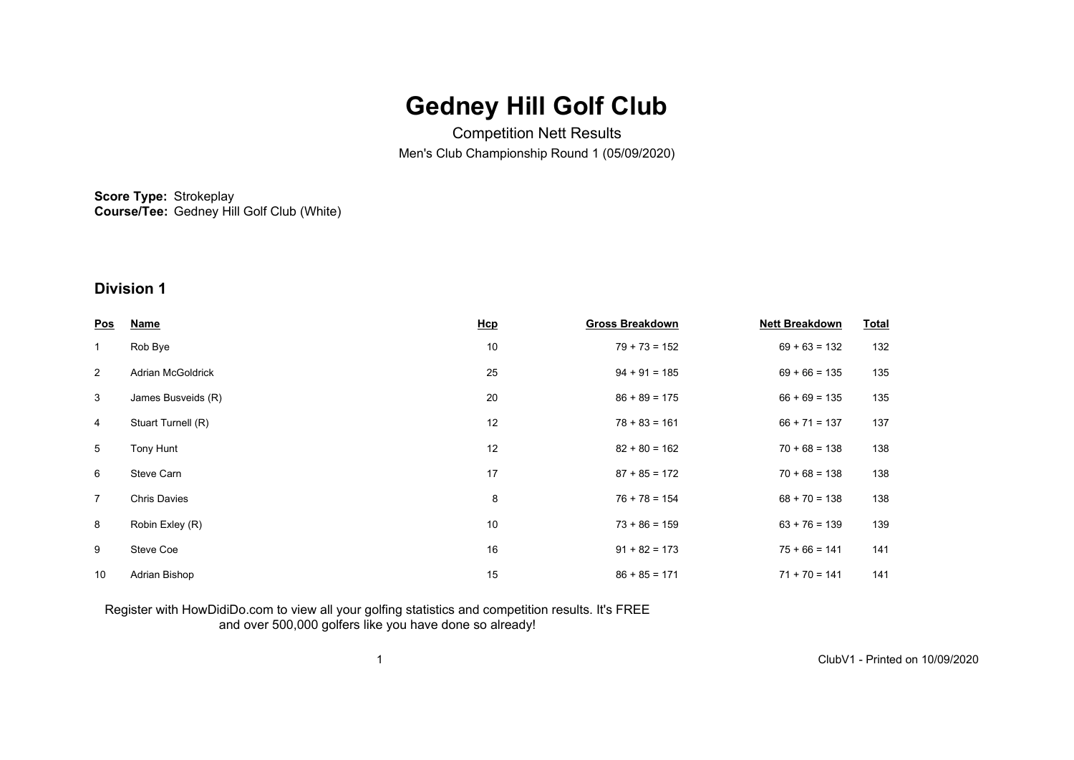# **Gedney Hill Golf Club**

Competition Nett Results Men's Club Championship Round 1 (05/09/2020)

**Score Type:** Strokeplay **Course/Tee:** Gedney Hill Golf Club (White)

## **Division 1**

| <u>Pos</u>     | <b>Name</b>         | Hcp | <b>Gross Breakdown</b> | <b>Nett Breakdown</b> | <b>Total</b> |
|----------------|---------------------|-----|------------------------|-----------------------|--------------|
| $\mathbf{1}$   | Rob Bye             | 10  | $79 + 73 = 152$        | $69 + 63 = 132$       | 132          |
| $\overline{2}$ | Adrian McGoldrick   | 25  | $94 + 91 = 185$        | $69 + 66 = 135$       | 135          |
| 3              | James Busveids (R)  | 20  | $86 + 89 = 175$        | $66 + 69 = 135$       | 135          |
| 4              | Stuart Turnell (R)  | 12  | $78 + 83 = 161$        | $66 + 71 = 137$       | 137          |
| 5              | Tony Hunt           | 12  | $82 + 80 = 162$        | $70 + 68 = 138$       | 138          |
| 6              | Steve Carn          | 17  | $87 + 85 = 172$        | $70 + 68 = 138$       | 138          |
| $\overline{7}$ | <b>Chris Davies</b> | 8   | $76 + 78 = 154$        | $68 + 70 = 138$       | 138          |
| 8              | Robin Exley (R)     | 10  | $73 + 86 = 159$        | $63 + 76 = 139$       | 139          |
| 9              | Steve Coe           | 16  | $91 + 82 = 173$        | $75 + 66 = 141$       | 141          |
| 10             | Adrian Bishop       | 15  | $86 + 85 = 171$        | $71 + 70 = 141$       | 141          |

### Register with HowDidiDo.com to view all your golfing statistics and competition results. It's FREE and over 500,000 golfers like you have done so already!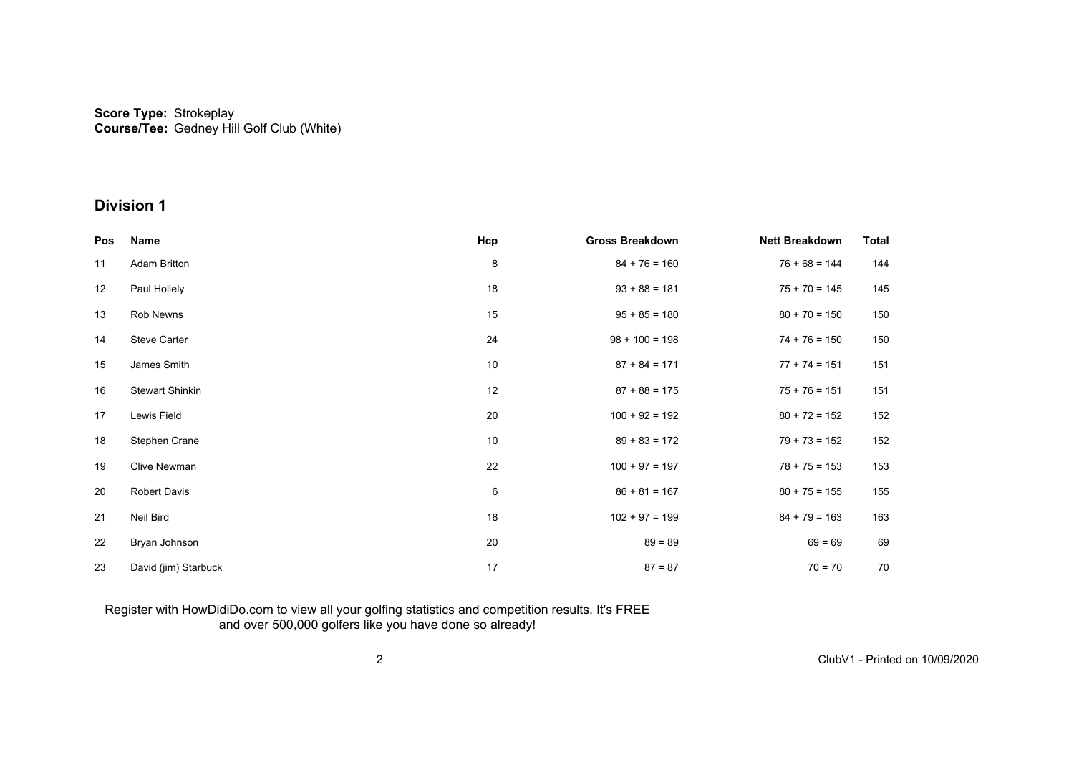#### **Score Type: Course/Tee:** Strokeplay Gedney Hill Golf Club (White)

## **Division 1**

| <u>Pos</u> | <b>Name</b>            | Hcp | <b>Gross Breakdown</b> | <b>Nett Breakdown</b> | <b>Total</b> |
|------------|------------------------|-----|------------------------|-----------------------|--------------|
| 11         | <b>Adam Britton</b>    | 8   | $84 + 76 = 160$        | $76 + 68 = 144$       | 144          |
| 12         | Paul Hollely           | 18  | $93 + 88 = 181$        | $75 + 70 = 145$       | 145          |
| 13         | Rob Newns              | 15  | $95 + 85 = 180$        | $80 + 70 = 150$       | 150          |
| 14         | <b>Steve Carter</b>    | 24  | $98 + 100 = 198$       | $74 + 76 = 150$       | 150          |
| 15         | James Smith            | 10  | $87 + 84 = 171$        | $77 + 74 = 151$       | 151          |
| 16         | <b>Stewart Shinkin</b> | 12  | $87 + 88 = 175$        | $75 + 76 = 151$       | 151          |
| 17         | Lewis Field            | 20  | $100 + 92 = 192$       | $80 + 72 = 152$       | 152          |
| 18         | Stephen Crane          | 10  | $89 + 83 = 172$        | $79 + 73 = 152$       | 152          |
| 19         | <b>Clive Newman</b>    | 22  | $100 + 97 = 197$       | $78 + 75 = 153$       | 153          |
| 20         | Robert Davis           | 6   | $86 + 81 = 167$        | $80 + 75 = 155$       | 155          |
| 21         | Neil Bird              | 18  | $102 + 97 = 199$       | $84 + 79 = 163$       | 163          |
| 22         | Bryan Johnson          | 20  | $89 = 89$              | $69 = 69$             | 69           |
| 23         | David (jim) Starbuck   | 17  | $87 = 87$              | $70 = 70$             | 70           |

#### Register with HowDidiDo.com to view all your golfing statistics and competition results. It's FREE and over 500,000 golfers like you have done so already!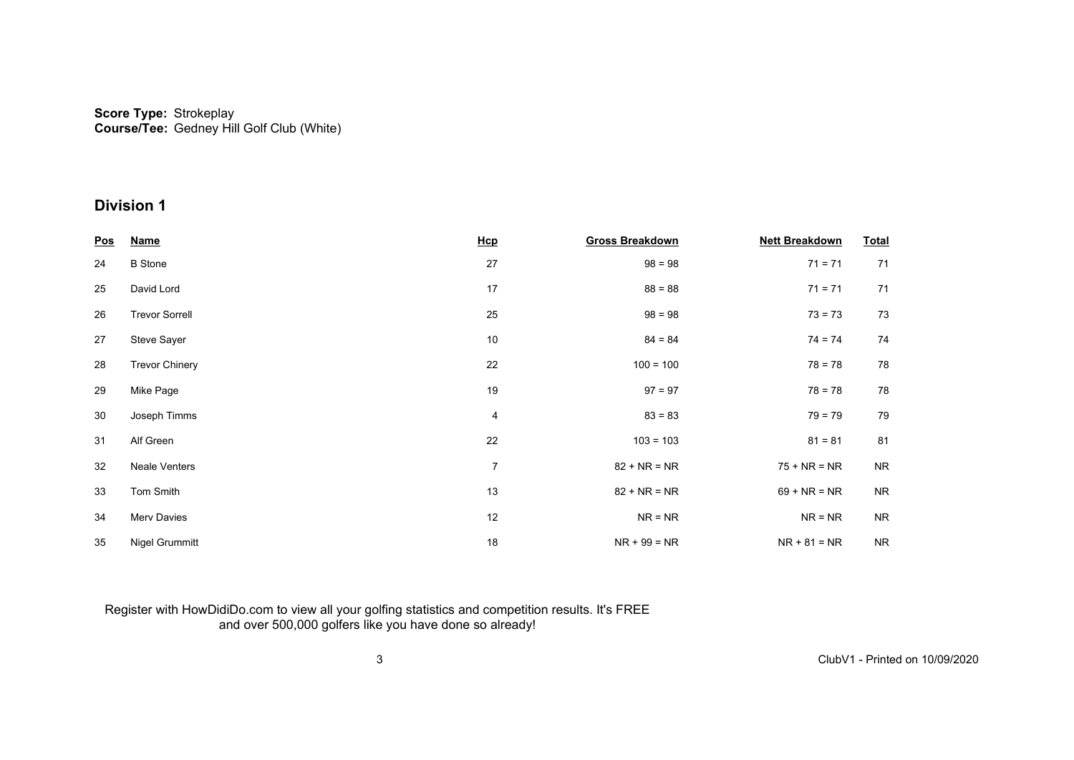#### **Score Type: Course/Tee:** Strokeplay Gedney Hill Golf Club (White)

## **Division 1**

| <u>Pos</u> | <b>Name</b>           | Hcp            | <b>Gross Breakdown</b> | <b>Nett Breakdown</b> | <b>Total</b> |
|------------|-----------------------|----------------|------------------------|-----------------------|--------------|
| 24         | <b>B</b> Stone        | 27             | $98 = 98$              | $71 = 71$             | 71           |
| 25         | David Lord            | 17             | $88 = 88$              | $71 = 71$             | 71           |
| 26         | <b>Trevor Sorrell</b> | 25             | $98 = 98$              | $73 = 73$             | 73           |
| 27         | Steve Sayer           | 10             | $84 = 84$              | $74 = 74$             | 74           |
| 28         | <b>Trevor Chinery</b> | 22             | $100 = 100$            | $78 = 78$             | 78           |
| 29         | Mike Page             | 19             | $97 = 97$              | $78 = 78$             | 78           |
| 30         | Joseph Timms          | $\overline{4}$ | $83 = 83$              | $79 = 79$             | 79           |
| 31         | Alf Green             | 22             | $103 = 103$            | $81 = 81$             | 81           |
| 32         | <b>Neale Venters</b>  | $\overline{7}$ | $82 + NR = NR$         | $75 + NR = NR$        | <b>NR</b>    |
| 33         | Tom Smith             | 13             | $82 + NR = NR$         | $69 + NR = NR$        | <b>NR</b>    |
| 34         | Merv Davies           | 12             | $NR = NR$              | $NR = NR$             | <b>NR</b>    |
| 35         | Nigel Grummitt        | 18             | $NR + 99 = NR$         | $NR + 81 = NR$        | <b>NR</b>    |

#### Register with HowDidiDo.com to view all your golfing statistics and competition results. It's FREE and over 500,000 golfers like you have done so already!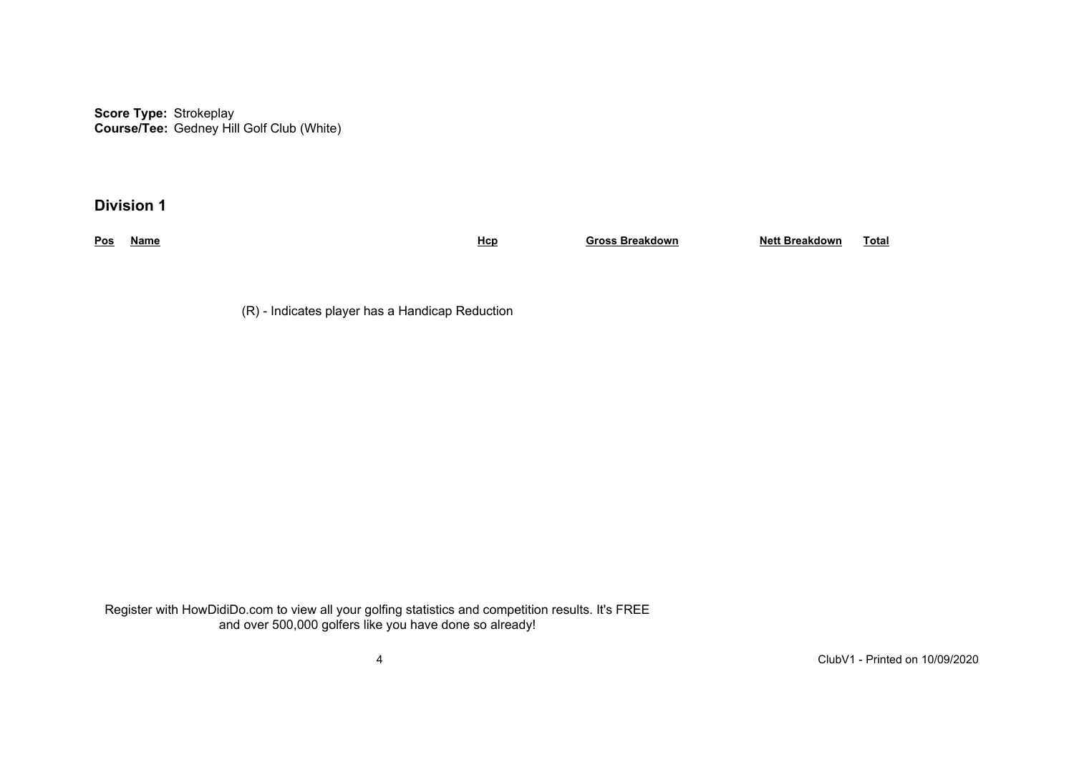**Score Type:** Strokeplay **Course/Tee:** Gedney Hill Golf Club (White)

**Division 1**

**Pos Name Hcp Gross Breakdown Nett Breakdown Total**

(R) - Indicates player has a Handicap Reduction

Register with HowDidiDo.com to view all your golfing statistics and competition results. It's FREE and over 500,000 golfers like you have done so already!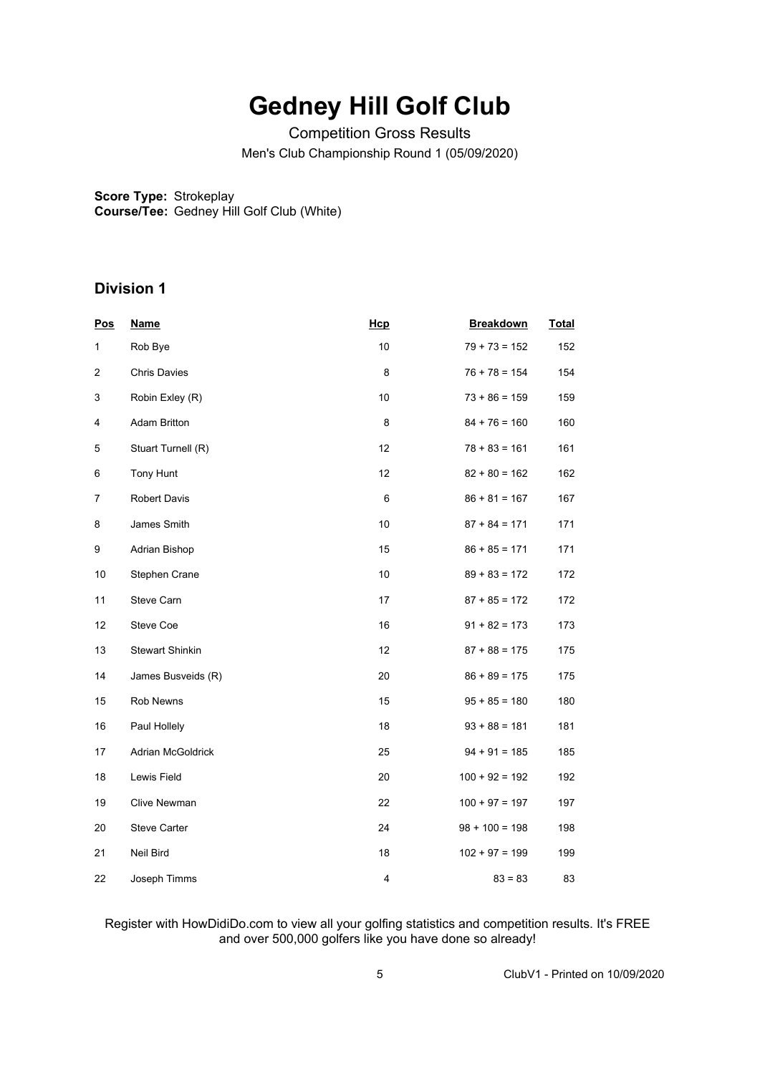# **Gedney Hill Golf Club**

Competition Gross Results Men's Club Championship Round 1 (05/09/2020)

**Score Type:** Strokeplay **Course/Tee:** Gedney Hill Golf Club (White)

# **Division 1**

| <b>Pos</b> | <b>Name</b>            | Hcp                     | <b>Breakdown</b> | <b>Total</b> |
|------------|------------------------|-------------------------|------------------|--------------|
| 1          | Rob Bye                | 10                      | $79 + 73 = 152$  | 152          |
| 2          | <b>Chris Davies</b>    | 8                       | $76 + 78 = 154$  | 154          |
| 3          | Robin Exley (R)        | 10                      | $73 + 86 = 159$  | 159          |
| 4          | <b>Adam Britton</b>    | 8                       | $84 + 76 = 160$  | 160          |
| 5          | Stuart Turnell (R)     | 12                      | $78 + 83 = 161$  | 161          |
| 6          | Tony Hunt              | 12                      | $82 + 80 = 162$  | 162          |
| 7          | <b>Robert Davis</b>    | 6                       | $86 + 81 = 167$  | 167          |
| 8          | James Smith            | 10                      | $87 + 84 = 171$  | 171          |
| 9          | Adrian Bishop          | 15                      | $86 + 85 = 171$  | 171          |
| 10         | Stephen Crane          | 10                      | $89 + 83 = 172$  | 172          |
| 11         | Steve Carn             | 17                      | $87 + 85 = 172$  | 172          |
| 12         | Steve Coe              | 16                      | $91 + 82 = 173$  | 173          |
| 13         | <b>Stewart Shinkin</b> | 12                      | $87 + 88 = 175$  | 175          |
| 14         | James Busveids (R)     | 20                      | $86 + 89 = 175$  | 175          |
| 15         | Rob Newns              | 15                      | $95 + 85 = 180$  | 180          |
| 16         | Paul Hollely           | 18                      | $93 + 88 = 181$  | 181          |
| 17         | Adrian McGoldrick      | 25                      | $94 + 91 = 185$  | 185          |
| 18         | Lewis Field            | 20                      | $100 + 92 = 192$ | 192          |
| 19         | Clive Newman           | 22                      | $100 + 97 = 197$ | 197          |
| 20         | <b>Steve Carter</b>    | 24                      | $98 + 100 = 198$ | 198          |
| 21         | Neil Bird              | 18                      | $102 + 97 = 199$ | 199          |
| 22         | Joseph Timms           | $\overline{\mathbf{4}}$ | $83 = 83$        | 83           |

### Register with HowDidiDo.com to view all your golfing statistics and competition results. It's FREE and over 500,000 golfers like you have done so already!